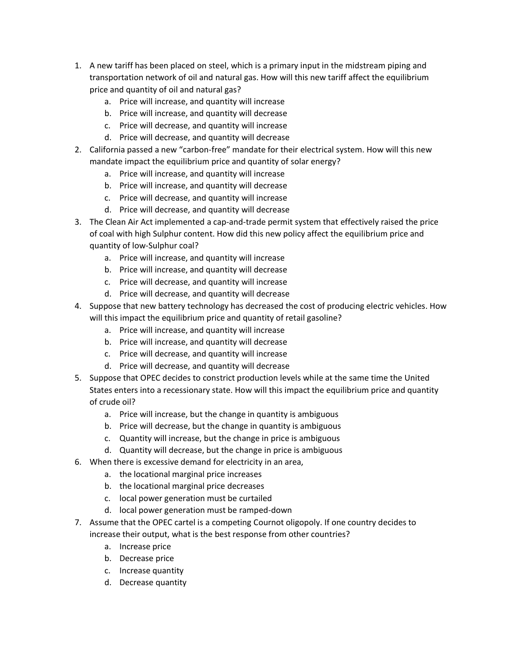- 1. A new tariff has been placed on steel, which is a primary input in the midstream piping and transportation network of oil and natural gas. How will this new tariff affect the equilibrium price and quantity of oil and natural gas?
	- a. Price will increase, and quantity will increase
	- b. Price will increase, and quantity will decrease
	- c. Price will decrease, and quantity will increase
	- d. Price will decrease, and quantity will decrease
- 2. California passed a new "carbon-free" mandate for their electrical system. How will this new mandate impact the equilibrium price and quantity of solar energy?
	- a. Price will increase, and quantity will increase
	- b. Price will increase, and quantity will decrease
	- c. Price will decrease, and quantity will increase
	- d. Price will decrease, and quantity will decrease
- 3. The Clean Air Act implemented a cap-and-trade permit system that effectively raised the price of coal with high Sulphur content. How did this new policy affect the equilibrium price and quantity of low-Sulphur coal?
	- a. Price will increase, and quantity will increase
	- b. Price will increase, and quantity will decrease
	- c. Price will decrease, and quantity will increase
	- d. Price will decrease, and quantity will decrease
- 4. Suppose that new battery technology has decreased the cost of producing electric vehicles. How will this impact the equilibrium price and quantity of retail gasoline?
	- a. Price will increase, and quantity will increase
	- b. Price will increase, and quantity will decrease
	- c. Price will decrease, and quantity will increase
	- d. Price will decrease, and quantity will decrease
- 5. Suppose that OPEC decides to constrict production levels while at the same time the United States enters into a recessionary state. How will this impact the equilibrium price and quantity of crude oil?
	- a. Price will increase, but the change in quantity is ambiguous
	- b. Price will decrease, but the change in quantity is ambiguous
	- c. Quantity will increase, but the change in price is ambiguous
	- d. Quantity will decrease, but the change in price is ambiguous
- 6. When there is excessive demand for electricity in an area,
	- a. the locational marginal price increases
	- b. the locational marginal price decreases
	- c. local power generation must be curtailed
	- d. local power generation must be ramped-down
- 7. Assume that the OPEC cartel is a competing Cournot oligopoly. If one country decides to increase their output, what is the best response from other countries?
	- a. Increase price
	- b. Decrease price
	- c. Increase quantity
	- d. Decrease quantity